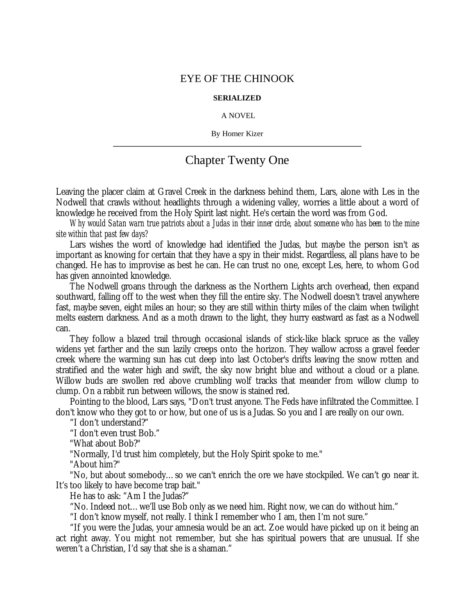## EYE OF THE CHINOOK

## **SERIALIZED**

## A NOVEL

By Homer Kizer **\_\_\_\_\_\_\_\_\_\_\_\_\_\_\_\_\_\_\_\_\_\_\_\_\_\_\_\_\_\_\_\_\_\_\_\_\_\_\_\_\_\_\_\_\_\_\_\_\_\_\_\_\_\_\_\_\_\_\_\_\_\_\_\_**

## Chapter Twenty One

Leaving the placer claim at Gravel Creek in the darkness behind them, Lars, alone with Les in the Nodwell that crawls without headlights through a widening valley, worries a little about a word of knowledge he received from the Holy Spirit last night. He's certain the word was from God.

*Why would Satan warn true patriots about a Judas in their inner circle, about someone who has been to the mine site within that past few days?*

Lars wishes the word of knowledge had identified the Judas, but maybe the person isn't as important as knowing for certain that they have a spy in their midst. Regardless, all plans have to be changed. He has to improvise as best he can. He can trust no one, except Les, here, to whom God has given annointed knowledge.

The Nodwell groans through the darkness as the Northern Lights arch overhead, then expand southward, falling off to the west when they fill the entire sky. The Nodwell doesn't travel anywhere fast, maybe seven, eight miles an hour; so they are still within thirty miles of the claim when twilight melts eastern darkness. And as a moth drawn to the light, they hurry eastward as fast as a Nodwell can.

They follow a blazed trail through occasional islands of stick-like black spruce as the valley widens yet farther and the sun lazily creeps onto the horizon. They wallow across a gravel feeder creek where the warming sun has cut deep into last October's drifts leaving the snow rotten and stratified and the water high and swift, the sky now bright blue and without a cloud or a plane. Willow buds are swollen red above crumbling wolf tracks that meander from willow clump to clump. On a rabbit run between willows, the snow is stained red.

Pointing to the blood, Lars says, "Don't trust anyone. The Feds have infiltrated the Committee. I don't know who they got to or how, but one of us is a Judas. So you and I are really on our own.

"I don't understand?"

"I don't even trust Bob."

"What about Bob?"

"Normally, I'd trust him completely, but the Holy Spirit spoke to me."

"About him?"

"No, but about somebody… so we can't enrich the ore we have stockpiled. We can't go near it. It's too likely to have become trap bait."

He has to ask: "Am I the Judas?"

"No. Indeed not… we'll use Bob only as we need him. Right now, we can do without him."

"I don't know myself, not really. I think I remember who I am, then I'm not sure."

"If you were the Judas, your amnesia would be an act. Zoe would have picked up on it being an act right away. You might not remember, but she has spiritual powers that are unusual. If she weren't a Christian, I'd say that she is a shaman."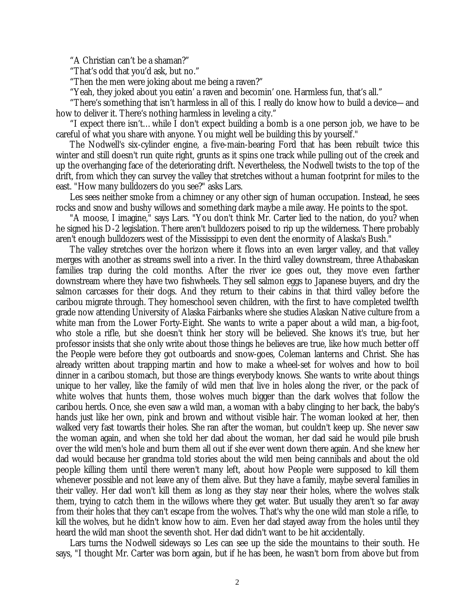"A Christian can't be a shaman?"

"That's odd that you'd ask, but no."

"Then the men were joking about me being a raven?"

"Yeah, they joked about you eatin' a raven and becomin' one. Harmless fun, that's all."

"There's something that isn't harmless in all of this. I really do know how to build a device— and how to deliver it. There's nothing harmless in leveling a city."

"I expect there isn't… while I don't expect building a bomb is a one person job, we have to be careful of what you share with anyone. You might well be building this by yourself."

The Nodwell's six-cylinder engine, a five-main-bearing Ford that has been rebuilt twice this winter and still doesn't run quite right, grunts as it spins one track while pulling out of the creek and up the overhanging face of the deteriorating drift. Nevertheless, the Nodwell twists to the top of the drift, from which they can survey the valley that stretches without a human footprint for miles to the east. "How many bulldozers do you see?" asks Lars.

Les sees neither smoke from a chimney or any other sign of human occupation. Instead, he sees rocks and snow and bushy willows and something dark maybe a mile away. He points to the spot.

"A moose, I imagine," says Lars. "You don't think Mr. Carter lied to the nation, do you? when he signed his D-2 legislation. There aren't bulldozers poised to rip up the wilderness. There probably aren't enough bulldozers west of the Mississippi to even dent the enormity of Alaska's Bush."

The valley stretches over the horizon where it flows into an even larger valley, and that valley merges with another as streams swell into a river. In the third valley downstream, three Athabaskan families trap during the cold months. After the river ice goes out, they move even farther downstream where they have two fishwheels. They sell salmon eggs to Japanese buyers, and dry the salmon carcasses for their dogs. And they return to their cabins in that third valley before the caribou migrate through. They homeschool seven children, with the first to have completed twelfth grade now attending University of Alaska Fairbanks where she studies Alaskan Native culture from a white man from the Lower Forty-Eight. She wants to write a paper about a wild man, a big-foot, who stole a rifle, but she doesn't think her story will be believed. She knows it's true, but her professor insists that she only write about those things he believes are true, like how much better off the People were before they got outboards and snow-goes, Coleman lanterns and Christ. She has already written about trapping martin and how to make a wheel-set for wolves and how to boil dinner in a caribou stomach, but those are things everybody knows. She wants to write about things unique to her valley, like the family of wild men that live in holes along the river, or the pack of white wolves that hunts them, those wolves much bigger than the dark wolves that follow the caribou herds. Once, she even saw a wild man, a woman with a baby clinging to her back, the baby's hands just like her own, pink and brown and without visible hair. The woman looked at her, then walked very fast towards their holes. She ran after the woman, but couldn't keep up. She never saw the woman again, and when she told her dad about the woman, her dad said he would pile brush over the wild men's hole and burn them all out if she ever went down there again. And she knew her dad would because her grandma told stories about the wild men being cannibals and about the old people killing them until there weren't many left, about how People were supposed to kill them whenever possible and not leave any of them alive. But they have a family, maybe several families in their valley. Her dad won't kill them as long as they stay near their holes, where the wolves stalk them, trying to catch them in the willows where they get water. But usually they aren't so far away from their holes that they can't escape from the wolves. That's why the one wild man stole a rifle, to kill the wolves, but he didn't know how to aim. Even her dad stayed away from the holes until they heard the wild man shoot the seventh shot. Her dad didn't want to be hit accidentally.

Lars turns the Nodwell sideways so Les can see up the side the mountains to their south. He says, "I thought Mr. Carter was born again, but if he has been, he wasn't born from above but from